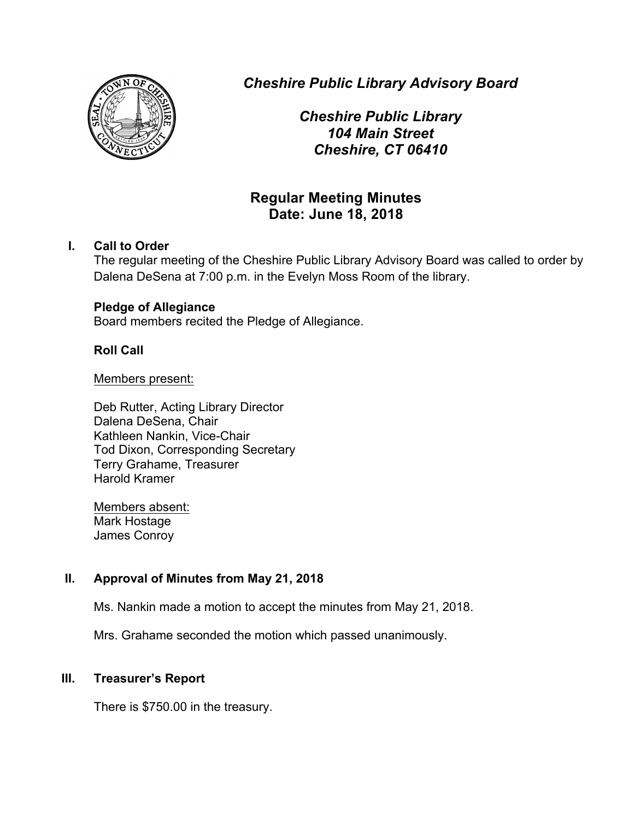

*Cheshire Public Library Advisory Board*

*Cheshire Public Library 104 Main Street Cheshire, CT 06410*

# **Regular Meeting Minutes Date: June 18, 2018**

# **I. Call to Order**

The regular meeting of the Cheshire Public Library Advisory Board was called to order by Dalena DeSena at 7:00 p.m. in the Evelyn Moss Room of the library.

# **Pledge of Allegiance**

Board members recited the Pledge of Allegiance.

## **Roll Call**

#### Members present:

Deb Rutter, Acting Library Director Dalena DeSena, Chair Kathleen Nankin, Vice-Chair Tod Dixon, Corresponding Secretary Terry Grahame, Treasurer Harold Kramer

Members absent: Mark Hostage James Conroy

# **II. Approval of Minutes from May 21, 2018**

Ms. Nankin made a motion to accept the minutes from May 21, 2018.

Mrs. Grahame seconded the motion which passed unanimously.

# **III. Treasurer's Report**

There is \$750.00 in the treasury.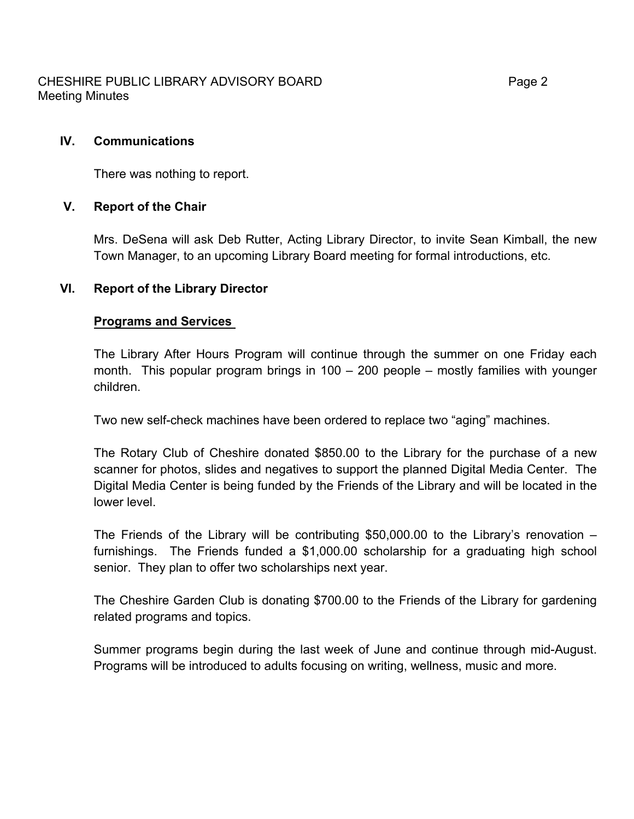CHESHIRE PUBLIC LIBRARY ADVISORY BOARD Fage 2 Meeting Minutes

There was nothing to report.

## **V. Report of the Chair**

Mrs. DeSena will ask Deb Rutter, Acting Library Director, to invite Sean Kimball, the new Town Manager, to an upcoming Library Board meeting for formal introductions, etc.

## **VI. Report of the Library Director**

#### **Programs and Services**

The Library After Hours Program will continue through the summer on one Friday each month. This popular program brings in 100 – 200 people – mostly families with younger children.

Two new self-check machines have been ordered to replace two "aging" machines.

The Rotary Club of Cheshire donated \$850.00 to the Library for the purchase of a new scanner for photos, slides and negatives to support the planned Digital Media Center. The Digital Media Center is being funded by the Friends of the Library and will be located in the lower level.

The Friends of the Library will be contributing \$50,000.00 to the Library's renovation  $$ furnishings. The Friends funded a \$1,000.00 scholarship for a graduating high school senior. They plan to offer two scholarships next year.

The Cheshire Garden Club is donating \$700.00 to the Friends of the Library for gardening related programs and topics.

Summer programs begin during the last week of June and continue through mid-August. Programs will be introduced to adults focusing on writing, wellness, music and more.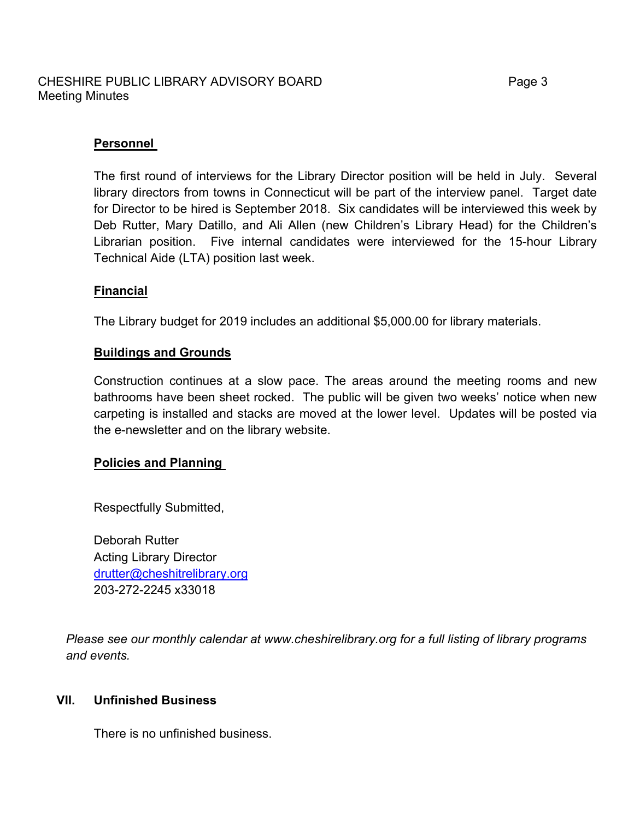#### CHESHIRE PUBLIC LIBRARY ADVISORY BOARD Fage 3 Meeting Minutes

## **Personnel**

The first round of interviews for the Library Director position will be held in July. Several library directors from towns in Connecticut will be part of the interview panel. Target date for Director to be hired is September 2018. Six candidates will be interviewed this week by Deb Rutter, Mary Datillo, and Ali Allen (new Children's Library Head) for the Children's Librarian position. Five internal candidates were interviewed for the 15-hour Library Technical Aide (LTA) position last week.

## **Financial**

The Library budget for 2019 includes an additional \$5,000.00 for library materials.

## **Buildings and Grounds**

Construction continues at a slow pace. The areas around the meeting rooms and new bathrooms have been sheet rocked. The public will be given two weeks' notice when new carpeting is installed and stacks are moved at the lower level. Updates will be posted via the e-newsletter and on the library website.

#### **Policies and Planning**

Respectfully Submitted,

Deborah Rutter Acting Library Director drutter@cheshitrelibrary.org 203-272-2245 x33018

*Please see our monthly calendar at www.cheshirelibrary.org for a full listing of library programs and events.*

#### **VII. Unfinished Business**

There is no unfinished business.